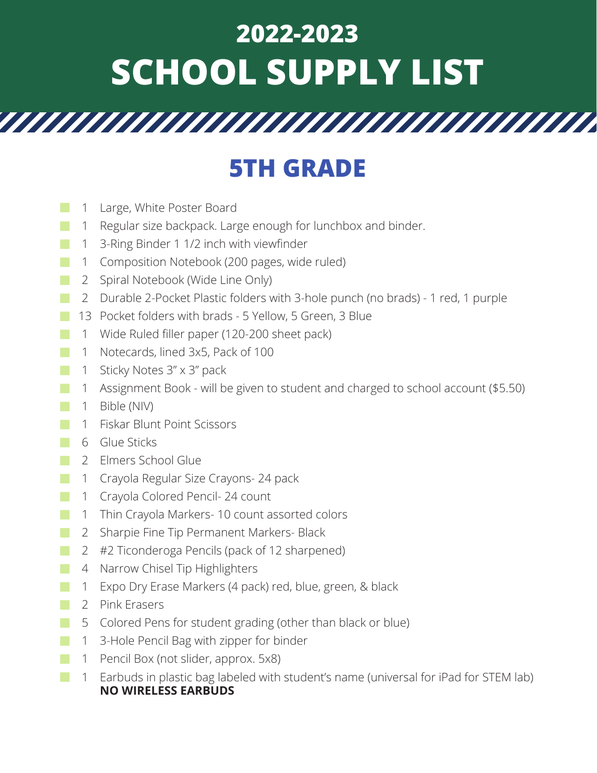## **2022-2023 SCHOOL SUPPLY LIST**

## **5TH GRADE**

- Large, White Poster Board 1
- Regular size backpack. Large enough for lunchbox and binder. 1 **■**
- 3-Ring Binder 1 1/2 inch with viewfinder 1
- Composition Notebook (200 pages, wide ruled) 1 **■**
- 2 Spiral Notebook (Wide Line Only)
- Durable 2-Pocket Plastic folders with 3-hole punch (no brads) 1 red, 1 purple 2 **■**
- 13 Pocket folders with brads 5 Yellow, 5 Green, 3 Blue
- Wide Ruled filler paper (120-200 sheet pack) 1 **■**
- Notecards, lined 3x5, Pack of 100 1
- 1 Sticky Notes 3" x 3" pack **■**
- Assignment Book will be given to student and charged to school account (\$5.50) 1
- Bible (NIV) 1
- Fiskar Blunt Point Scissors 1
- Glue Sticks 6 **■**
- Elmers School Glue 2 **■**
- Crayola Regular Size Crayons- 24 pack 1 **■**
- Crayola Colored Pencil- 24 count 1
- 1 Thin Crayola Markers-10 count assorted colors **■**
- 2 Sharpie Fine Tip Permanent Markers- Black **■**
- #2 Ticonderoga Pencils (pack of 12 sharpened) 2 **■**
- 4 Narrow Chisel Tip Highlighters
- Expo Dry Erase Markers (4 pack) red, blue, green, & black 1
- 2 Pink Erasers
- 5 Colored Pens for student grading (other than black or blue) **■**
- 3-Hole Pencil Bag with zipper for binder 1
- Pencil Box (not slider, approx. 5x8) 1 **■**
- Earbuds in plastic bag labeled with student's name (universal for iPad for STEM lab) 1**NO WIRELESS EARBUDS ■**